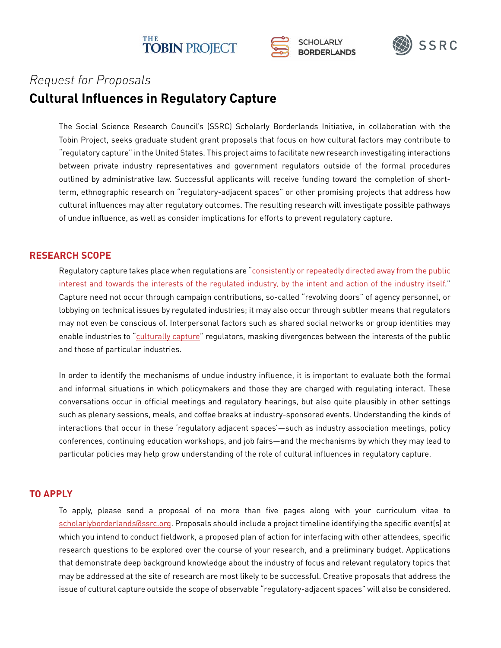





## **Cultural Influences in Regulatory Capture** *Request for Proposals*

The Social Science Research Council's (SSRC) Scholarly Borderlands Initiative, in collaboration with the Tobin Project, seeks graduate student grant proposals that focus on how cultural factors may contribute to "regulatory capture" in the United States. This project aims to facilitate new research investigating interactions between private industry representatives and government regulators outside of the formal procedures outlined by administrative law. Successful applicants will receive funding toward the completion of shortterm, ethnographic research on "regulatory-adjacent spaces" or other promising projects that address how cultural influences may alter regulatory outcomes. The resulting research will investigate possible pathways of undue influence, as well as consider implications for efforts to prevent regulatory capture.

## **RESEARCH SCOPE**

Regulatory capture takes place when regulations are "consistently or repeatedly directed away from the public [interest and towards the interests of the regulated industry, by the intent and action of the industry itself.](https://tobinproject.org/sites/tobinproject.org/files/assets/Introduction%20from%20Preventing%20Regulatory%20Capture.pdf)" Capture need not occur through campaign contributions, so-called "revolving doors" of agency personnel, or lobbying on technical issues by regulated industries; it may also occur through subtler means that regulators may not even be conscious of. Interpersonal factors such as shared social networks or group identities may enable industries to ["culturally capture](https://tobinproject.org/sites/tobinproject.org/files/assets/Kwak%20-%20Cultural%20Capture%20and%20the%20Financial%20Crisis.pdf)" regulators, masking divergences between the interests of the public and those of particular industries.

In order to identify the mechanisms of undue industry influence, it is important to evaluate both the formal and informal situations in which policymakers and those they are charged with regulating interact. These conversations occur in official meetings and regulatory hearings, but also quite plausibly in other settings such as plenary sessions, meals, and coffee breaks at industry-sponsored events. Understanding the kinds of interactions that occur in these 'regulatory adjacent spaces'—such as industry association meetings, policy conferences, continuing education workshops, and job fairs—and the mechanisms by which they may lead to particular policies may help grow understanding of the role of cultural influences in regulatory capture.

## **TO APPLY**

To apply, please send a proposal of no more than five pages along with your curriculum vitae to [scholarlyborderlands@ssrc.org](mailto:scholarlyborderlands%40ssrc.org?subject=). Proposals should include a project timeline identifying the specific event(s) at which you intend to conduct fieldwork, a proposed plan of action for interfacing with other attendees, specific research questions to be explored over the course of your research, and a preliminary budget. Applications that demonstrate deep background knowledge about the industry of focus and relevant regulatory topics that may be addressed at the site of research are most likely to be successful. Creative proposals that address the issue of cultural capture outside the scope of observable "regulatory-adjacent spaces" will also be considered.